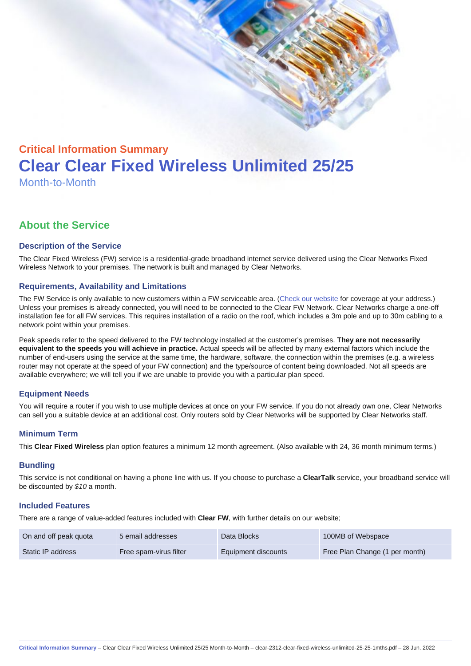# Critical Information Summary Clear Clear Fixed Wireless Unlimited 25/25 Month-to-Month

### About the Service

#### Description of the Service

The Clear Fixed Wireless (FW) service is a residential-grade broadband internet service delivered using the Clear Networks Fixed Wireless Network to your premises. The network is built and managed by Clear Networks.

#### Requirements, Availability and Limitations

The FW Service is only available to new customers within a FW serviceable area. ([Check our website](https://www.clear.com.au/corporate-government/fixed-wireless/) for coverage at your address.) Unless your premises is already connected, you will need to be connected to the Clear FW Network. Clear Networks charge a one-off installation fee for all FW services. This requires installation of a radio on the roof, which includes a 3m pole and up to 30m cabling to a network point within your premises.

Peak speeds refer to the speed delivered to the FW technology installed at the customer's premises. They are not necessarily equivalent to the speeds you will achieve in practice. Actual speeds will be affected by many external factors which include the number of end-users using the service at the same time, the hardware, software, the connection within the premises (e.g. a wireless router may not operate at the speed of your FW connection) and the type/source of content being downloaded. Not all speeds are available everywhere; we will tell you if we are unable to provide you with a particular plan speed.

#### Equipment Needs

You will require a router if you wish to use multiple devices at once on your FW service. If you do not already own one, Clear Networks can sell you a suitable device at an additional cost. Only routers sold by Clear Networks will be supported by Clear Networks staff.

#### Minimum Term

This Clear Fixed Wireless plan option features a minimum 12 month agreement. (Also available with 24, 36 month minimum terms.)

#### **Bundling**

This service is not conditional on having a phone line with us. If you choose to purchase a ClearTalk service, your broadband service will be discounted by \$10 a month.

#### Included Features

There are a range of value-added features included with Clear FW, with further details on our website;

| On and off peak quota | 5 email addresses      | Data Blocks         | 100MB of Webspace              |
|-----------------------|------------------------|---------------------|--------------------------------|
| Static IP address     | Free spam-virus filter | Equipment discounts | Free Plan Change (1 per month) |